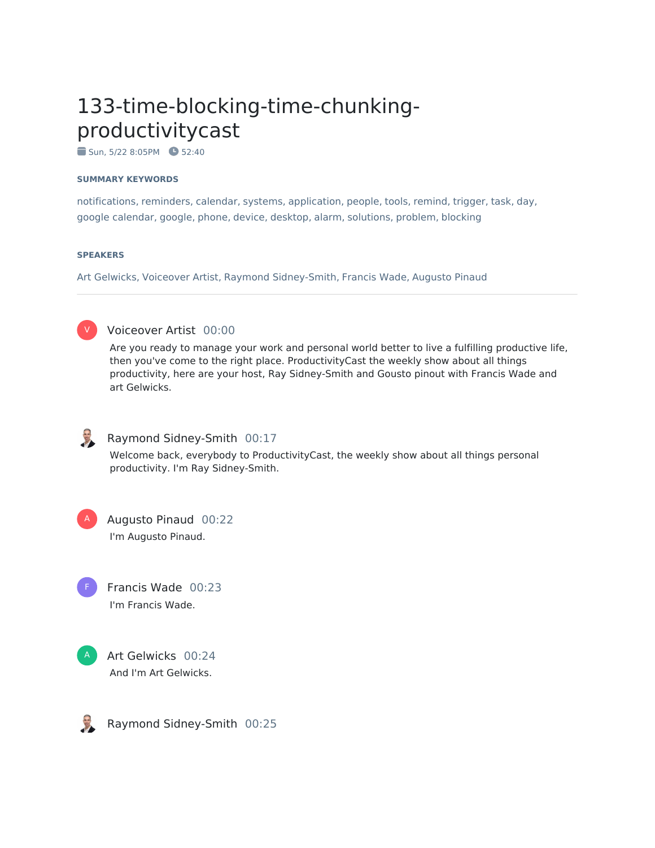# 133-time-blocking-time-chunkingproductivitycast

 $\bullet$  Sun, 5/22 8:05PM  $\bullet$  52:40

#### **SUMMARY KEYWORDS**

notifications, reminders, calendar, systems, application, people, tools, remind, trigger, task, day, google calendar, google, phone, device, desktop, alarm, solutions, problem, blocking

#### **SPEAKERS**

Art Gelwicks, Voiceover Artist, Raymond Sidney-Smith, Francis Wade, Augusto Pinaud



### Voiceover Artist 00:00

Are you ready to manage your work and personal world better to live a fulfilling productive life, then you've come to the right place. ProductivityCast the weekly show about all things productivity, here are your host, Ray Sidney-Smith and Gousto pinout with Francis Wade and art Gelwicks.



#### Raymond Sidney-Smith 00:17

Welcome back, everybody to ProductivityCast, the weekly show about all things personal productivity. I'm Ray Sidney-Smith.

Augusto Pinaud 00:22 I'm Augusto Pinaud. A





Art Gelwicks 00:24 And I'm Art Gelwicks.

Raymond Sidney-Smith 00:25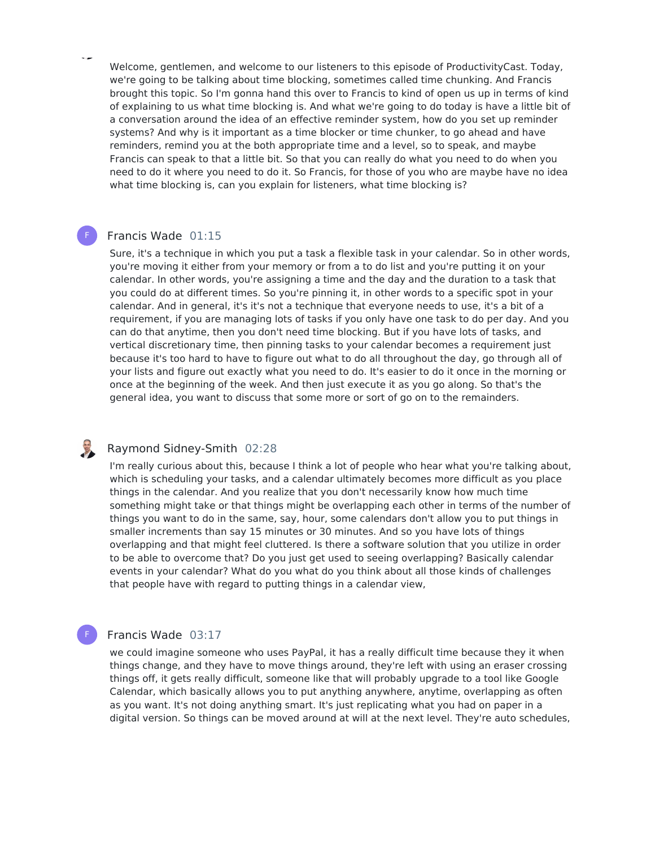Welcome, gentlemen, and welcome to our listeners to this episode of ProductivityCast. Today, we're going to be talking about time blocking, sometimes called time chunking. And Francis brought this topic. So I'm gonna hand this over to Francis to kind of open us up in terms of kind of explaining to us what time blocking is. And what we're going to do today is have a little bit of a conversation around the idea of an effective reminder system, how do you set up reminder systems? And why is it important as a time blocker or time chunker, to go ahead and have reminders, remind you at the both appropriate time and a level, so to speak, and maybe Francis can speak to that a little bit. So that you can really do what you need to do when you need to do it where you need to do it. So Francis, for those of you who are maybe have no idea what time blocking is, can you explain for listeners, what time blocking is?

#### Francis Wade 01:15

F

Sure, it's a technique in which you put a task a flexible task in your calendar. So in other words, you're moving it either from your memory or from a to do list and you're putting it on your calendar. In other words, you're assigning a time and the day and the duration to a task that you could do at different times. So you're pinning it, in other words to a specific spot in your calendar. And in general, it's it's not a technique that everyone needs to use, it's a bit of a requirement, if you are managing lots of tasks if you only have one task to do per day. And you can do that anytime, then you don't need time blocking. But if you have lots of tasks, and vertical discretionary time, then pinning tasks to your calendar becomes a requirement just because it's too hard to have to figure out what to do all throughout the day, go through all of your lists and figure out exactly what you need to do. It's easier to do it once in the morning or once at the beginning of the week. And then just execute it as you go along. So that's the general idea, you want to discuss that some more or sort of go on to the remainders.

#### E Raymond Sidney-Smith 02:28

I'm really curious about this, because I think a lot of people who hear what you're talking about, which is scheduling your tasks, and a calendar ultimately becomes more difficult as you place things in the calendar. And you realize that you don't necessarily know how much time something might take or that things might be overlapping each other in terms of the number of things you want to do in the same, say, hour, some calendars don't allow you to put things in smaller increments than say 15 minutes or 30 minutes. And so you have lots of things overlapping and that might feel cluttered. Is there a software solution that you utilize in order to be able to overcome that? Do you just get used to seeing overlapping? Basically calendar events in your calendar? What do you what do you think about all those kinds of challenges that people have with regard to putting things in a calendar view,

### Francis Wade 03:17

F

we could imagine someone who uses PayPal, it has a really difficult time because they it when things change, and they have to move things around, they're left with using an eraser crossing things off, it gets really difficult, someone like that will probably upgrade to a tool like Google Calendar, which basically allows you to put anything anywhere, anytime, overlapping as often as you want. It's not doing anything smart. It's just replicating what you had on paper in a digital version. So things can be moved around at will at the next level. They're auto schedules,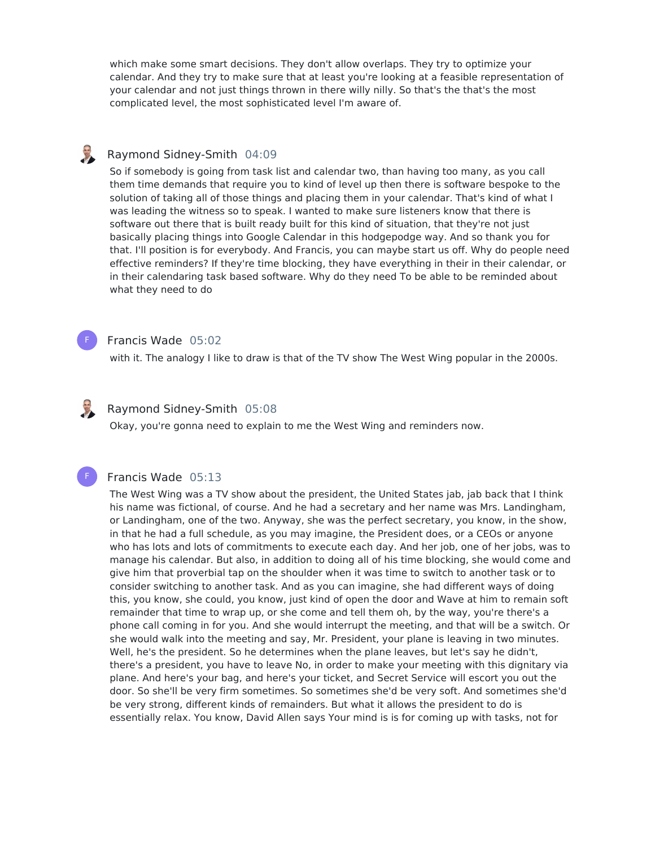which make some smart decisions. They don't allow overlaps. They try to optimize your calendar. And they try to make sure that at least you're looking at a feasible representation of your calendar and not just things thrown in there willy nilly. So that's the that's the most complicated level, the most sophisticated level I'm aware of.

#### U Raymond Sidney-Smith 04:09

So if somebody is going from task list and calendar two, than having too many, as you call them time demands that require you to kind of level up then there is software bespoke to the solution of taking all of those things and placing them in your calendar. That's kind of what I was leading the witness so to speak. I wanted to make sure listeners know that there is software out there that is built ready built for this kind of situation, that they're not just basically placing things into Google Calendar in this hodgepodge way. And so thank you for that. I'll position is for everybody. And Francis, you can maybe start us off. Why do people need effective reminders? If they're time blocking, they have everything in their in their calendar, or in their calendaring task based software. Why do they need To be able to be reminded about what they need to do



#### Francis Wade 05:02

with it. The analogy I like to draw is that of the TV show The West Wing popular in the 2000s.



F

# Raymond Sidney-Smith 05:08

Okay, you're gonna need to explain to me the West Wing and reminders now.

#### Francis Wade 05:13

The West Wing was a TV show about the president, the United States jab, jab back that I think his name was fictional, of course. And he had a secretary and her name was Mrs. Landingham, or Landingham, one of the two. Anyway, she was the perfect secretary, you know, in the show, in that he had a full schedule, as you may imagine, the President does, or a CEOs or anyone who has lots and lots of commitments to execute each day. And her job, one of her jobs, was to manage his calendar. But also, in addition to doing all of his time blocking, she would come and give him that proverbial tap on the shoulder when it was time to switch to another task or to consider switching to another task. And as you can imagine, she had different ways of doing this, you know, she could, you know, just kind of open the door and Wave at him to remain soft remainder that time to wrap up, or she come and tell them oh, by the way, you're there's a phone call coming in for you. And she would interrupt the meeting, and that will be a switch. Or she would walk into the meeting and say, Mr. President, your plane is leaving in two minutes. Well, he's the president. So he determines when the plane leaves, but let's say he didn't, there's a president, you have to leave No, in order to make your meeting with this dignitary via plane. And here's your bag, and here's your ticket, and Secret Service will escort you out the door. So she'll be very firm sometimes. So sometimes she'd be very soft. And sometimes she'd be very strong, different kinds of remainders. But what it allows the president to do is essentially relax. You know, David Allen says Your mind is is for coming up with tasks, not for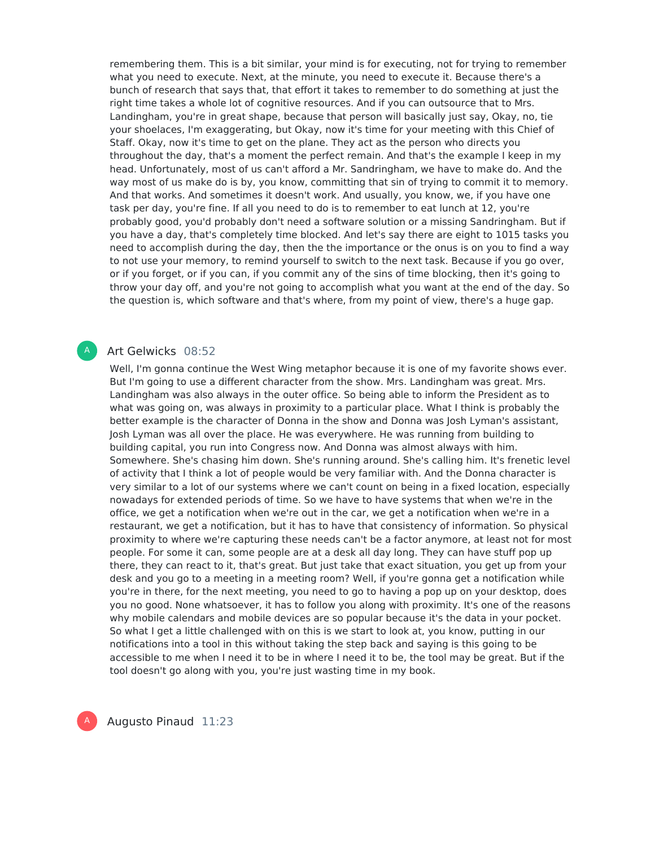remembering them. This is a bit similar, your mind is for executing, not for trying to remember what you need to execute. Next, at the minute, you need to execute it. Because there's a bunch of research that says that, that effort it takes to remember to do something at just the right time takes a whole lot of cognitive resources. And if you can outsource that to Mrs. Landingham, you're in great shape, because that person will basically just say, Okay, no, tie your shoelaces, I'm exaggerating, but Okay, now it's time for your meeting with this Chief of Staff. Okay, now it's time to get on the plane. They act as the person who directs you throughout the day, that's a moment the perfect remain. And that's the example I keep in my head. Unfortunately, most of us can't afford a Mr. Sandringham, we have to make do. And the way most of us make do is by, you know, committing that sin of trying to commit it to memory. And that works. And sometimes it doesn't work. And usually, you know, we, if you have one task per day, you're fine. If all you need to do is to remember to eat lunch at 12, you're probably good, you'd probably don't need a software solution or a missing Sandringham. But if you have a day, that's completely time blocked. And let's say there are eight to 1015 tasks you need to accomplish during the day, then the the importance or the onus is on you to find a way to not use your memory, to remind yourself to switch to the next task. Because if you go over, or if you forget, or if you can, if you commit any of the sins of time blocking, then it's going to throw your day off, and you're not going to accomplish what you want at the end of the day. So the question is, which software and that's where, from my point of view, there's a huge gap.

### Art Gelwicks 08:52

A

Well, I'm gonna continue the West Wing metaphor because it is one of my favorite shows ever. But I'm going to use a different character from the show. Mrs. Landingham was great. Mrs. Landingham was also always in the outer office. So being able to inform the President as to what was going on, was always in proximity to a particular place. What I think is probably the better example is the character of Donna in the show and Donna was Josh Lyman's assistant, Josh Lyman was all over the place. He was everywhere. He was running from building to building capital, you run into Congress now. And Donna was almost always with him. Somewhere. She's chasing him down. She's running around. She's calling him. It's frenetic level of activity that I think a lot of people would be very familiar with. And the Donna character is very similar to a lot of our systems where we can't count on being in a fixed location, especially nowadays for extended periods of time. So we have to have systems that when we're in the office, we get a notification when we're out in the car, we get a notification when we're in a restaurant, we get a notification, but it has to have that consistency of information. So physical proximity to where we're capturing these needs can't be a factor anymore, at least not for most people. For some it can, some people are at a desk all day long. They can have stuff pop up there, they can react to it, that's great. But just take that exact situation, you get up from your desk and you go to a meeting in a meeting room? Well, if you're gonna get a notification while you're in there, for the next meeting, you need to go to having a pop up on your desktop, does you no good. None whatsoever, it has to follow you along with proximity. It's one of the reasons why mobile calendars and mobile devices are so popular because it's the data in your pocket. So what I get a little challenged with on this is we start to look at, you know, putting in our notifications into a tool in this without taking the step back and saying is this going to be accessible to me when I need it to be in where I need it to be, the tool may be great. But if the tool doesn't go along with you, you're just wasting time in my book.

A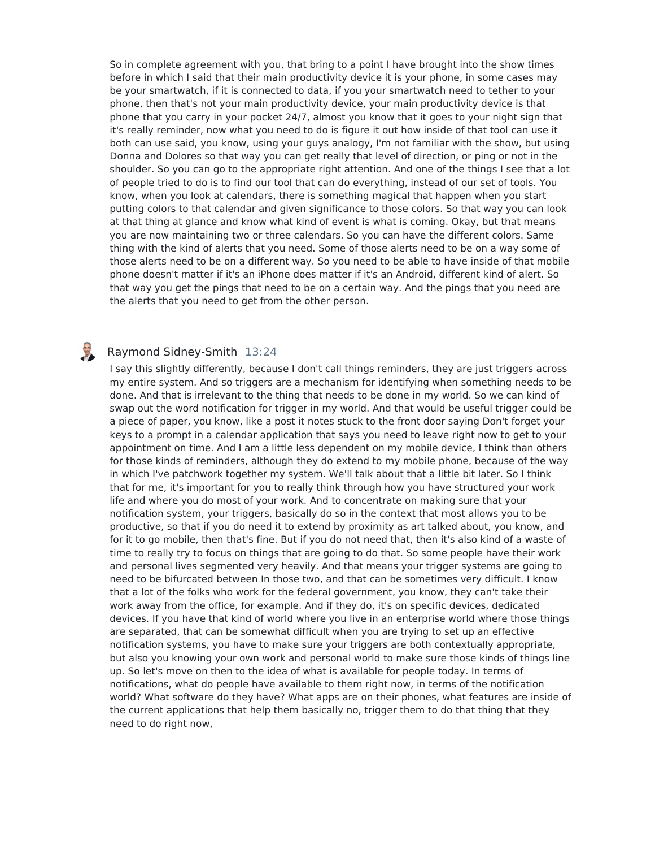So in complete agreement with you, that bring to a point I have brought into the show times before in which I said that their main productivity device it is your phone, in some cases may be your smartwatch, if it is connected to data, if you your smartwatch need to tether to your phone, then that's not your main productivity device, your main productivity device is that phone that you carry in your pocket 24/7, almost you know that it goes to your night sign that it's really reminder, now what you need to do is figure it out how inside of that tool can use it both can use said, you know, using your guys analogy, I'm not familiar with the show, but using Donna and Dolores so that way you can get really that level of direction, or ping or not in the shoulder. So you can go to the appropriate right attention. And one of the things I see that a lot of people tried to do is to find our tool that can do everything, instead of our set of tools. You know, when you look at calendars, there is something magical that happen when you start putting colors to that calendar and given significance to those colors. So that way you can look at that thing at glance and know what kind of event is what is coming. Okay, but that means you are now maintaining two or three calendars. So you can have the different colors. Same thing with the kind of alerts that you need. Some of those alerts need to be on a way some of those alerts need to be on a different way. So you need to be able to have inside of that mobile phone doesn't matter if it's an iPhone does matter if it's an Android, different kind of alert. So that way you get the pings that need to be on a certain way. And the pings that you need are the alerts that you need to get from the other person.

#### E Raymond Sidney-Smith 13:24

I say this slightly differently, because I don't call things reminders, they are just triggers across my entire system. And so triggers are a mechanism for identifying when something needs to be done. And that is irrelevant to the thing that needs to be done in my world. So we can kind of swap out the word notification for trigger in my world. And that would be useful trigger could be a piece of paper, you know, like a post it notes stuck to the front door saying Don't forget your keys to a prompt in a calendar application that says you need to leave right now to get to your appointment on time. And I am a little less dependent on my mobile device, I think than others for those kinds of reminders, although they do extend to my mobile phone, because of the way in which I've patchwork together my system. We'll talk about that a little bit later. So I think that for me, it's important for you to really think through how you have structured your work life and where you do most of your work. And to concentrate on making sure that your notification system, your triggers, basically do so in the context that most allows you to be productive, so that if you do need it to extend by proximity as art talked about, you know, and for it to go mobile, then that's fine. But if you do not need that, then it's also kind of a waste of time to really try to focus on things that are going to do that. So some people have their work and personal lives segmented very heavily. And that means your trigger systems are going to need to be bifurcated between In those two, and that can be sometimes very difficult. I know that a lot of the folks who work for the federal government, you know, they can't take their work away from the office, for example. And if they do, it's on specific devices, dedicated devices. If you have that kind of world where you live in an enterprise world where those things are separated, that can be somewhat difficult when you are trying to set up an effective notification systems, you have to make sure your triggers are both contextually appropriate, but also you knowing your own work and personal world to make sure those kinds of things line up. So let's move on then to the idea of what is available for people today. In terms of notifications, what do people have available to them right now, in terms of the notification world? What software do they have? What apps are on their phones, what features are inside of the current applications that help them basically no, trigger them to do that thing that they need to do right now,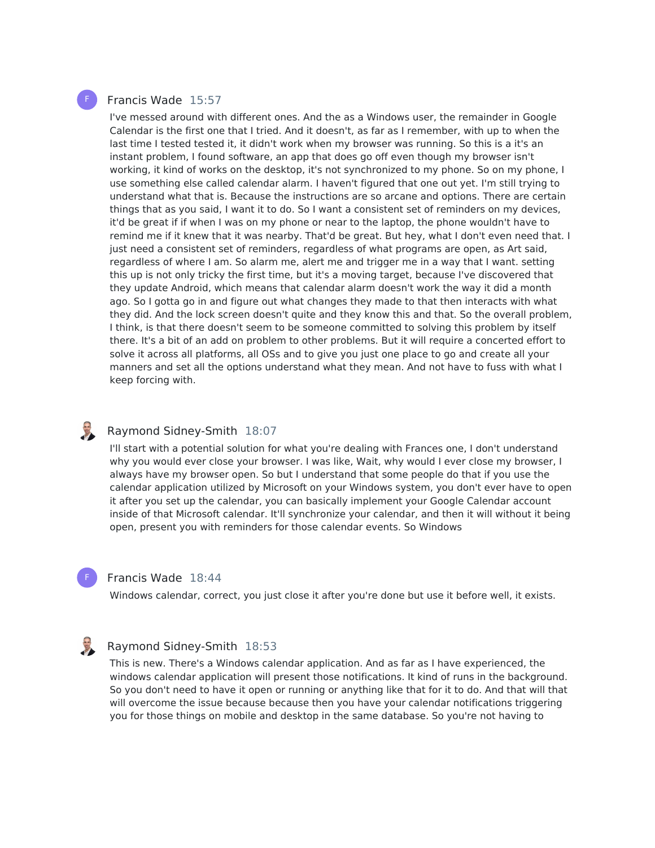## Francis Wade 15:57

I've messed around with different ones. And the as a Windows user, the remainder in Google Calendar is the first one that I tried. And it doesn't, as far as I remember, with up to when the last time I tested tested it, it didn't work when my browser was running. So this is a it's an instant problem, I found software, an app that does go off even though my browser isn't working, it kind of works on the desktop, it's not synchronized to my phone. So on my phone, I use something else called calendar alarm. I haven't figured that one out yet. I'm still trying to understand what that is. Because the instructions are so arcane and options. There are certain things that as you said, I want it to do. So I want a consistent set of reminders on my devices, it'd be great if if when I was on my phone or near to the laptop, the phone wouldn't have to remind me if it knew that it was nearby. That'd be great. But hey, what I don't even need that. I just need a consistent set of reminders, regardless of what programs are open, as Art said, regardless of where I am. So alarm me, alert me and trigger me in a way that I want. setting this up is not only tricky the first time, but it's a moving target, because I've discovered that they update Android, which means that calendar alarm doesn't work the way it did a month ago. So I gotta go in and figure out what changes they made to that then interacts with what they did. And the lock screen doesn't quite and they know this and that. So the overall problem, I think, is that there doesn't seem to be someone committed to solving this problem by itself there. It's a bit of an add on problem to other problems. But it will require a concerted effort to solve it across all platforms, all OSs and to give you just one place to go and create all your manners and set all the options understand what they mean. And not have to fuss with what I keep forcing with.

#### Raymond Sidney-Smith 18:07

I'll start with a potential solution for what you're dealing with Frances one, I don't understand why you would ever close your browser. I was like, Wait, why would I ever close my browser, I always have my browser open. So but I understand that some people do that if you use the calendar application utilized by Microsoft on your Windows system, you don't ever have to open it after you set up the calendar, you can basically implement your Google Calendar account inside of that Microsoft calendar. It'll synchronize your calendar, and then it will without it being open, present you with reminders for those calendar events. So Windows

#### Francis Wade 18:44

F

Windows calendar, correct, you just close it after you're done but use it before well, it exists.

# Raymond Sidney-Smith 18:53

This is new. There's a Windows calendar application. And as far as I have experienced, the windows calendar application will present those notifications. It kind of runs in the background. So you don't need to have it open or running or anything like that for it to do. And that will that will overcome the issue because because then you have your calendar notifications triggering you for those things on mobile and desktop in the same database. So you're not having to

F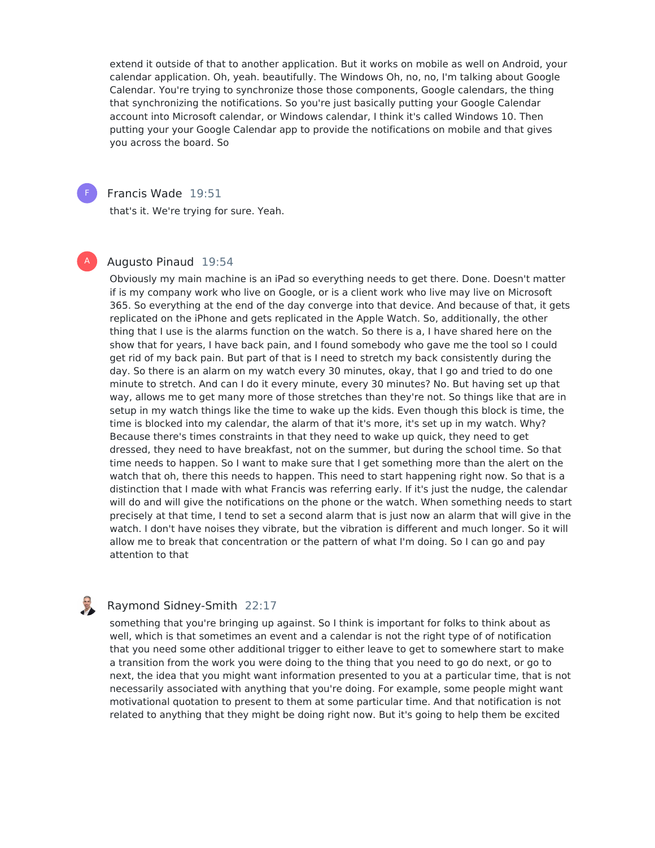extend it outside of that to another application. But it works on mobile as well on Android, your calendar application. Oh, yeah. beautifully. The Windows Oh, no, no, I'm talking about Google Calendar. You're trying to synchronize those those components, Google calendars, the thing that synchronizing the notifications. So you're just basically putting your Google Calendar account into Microsoft calendar, or Windows calendar, I think it's called Windows 10. Then putting your your Google Calendar app to provide the notifications on mobile and that gives you across the board. So



A

### Francis Wade 19:51

that's it. We're trying for sure. Yeah.

#### Augusto Pinaud 19:54

Obviously my main machine is an iPad so everything needs to get there. Done. Doesn't matter if is my company work who live on Google, or is a client work who live may live on Microsoft 365. So everything at the end of the day converge into that device. And because of that, it gets replicated on the iPhone and gets replicated in the Apple Watch. So, additionally, the other thing that I use is the alarms function on the watch. So there is a, I have shared here on the show that for years, I have back pain, and I found somebody who gave me the tool so I could get rid of my back pain. But part of that is I need to stretch my back consistently during the day. So there is an alarm on my watch every 30 minutes, okay, that I go and tried to do one minute to stretch. And can I do it every minute, every 30 minutes? No. But having set up that way, allows me to get many more of those stretches than they're not. So things like that are in setup in my watch things like the time to wake up the kids. Even though this block is time, the time is blocked into my calendar, the alarm of that it's more, it's set up in my watch. Why? Because there's times constraints in that they need to wake up quick, they need to get dressed, they need to have breakfast, not on the summer, but during the school time. So that time needs to happen. So I want to make sure that I get something more than the alert on the watch that oh, there this needs to happen. This need to start happening right now. So that is a distinction that I made with what Francis was referring early. If it's just the nudge, the calendar will do and will give the notifications on the phone or the watch. When something needs to start precisely at that time, I tend to set a second alarm that is just now an alarm that will give in the watch. I don't have noises they vibrate, but the vibration is different and much longer. So it will allow me to break that concentration or the pattern of what I'm doing. So I can go and pay attention to that

# Raymond Sidney-Smith 22:17

something that you're bringing up against. So I think is important for folks to think about as well, which is that sometimes an event and a calendar is not the right type of of notification that you need some other additional trigger to either leave to get to somewhere start to make a transition from the work you were doing to the thing that you need to go do next, or go to next, the idea that you might want information presented to you at a particular time, that is not necessarily associated with anything that you're doing. For example, some people might want motivational quotation to present to them at some particular time. And that notification is not related to anything that they might be doing right now. But it's going to help them be excited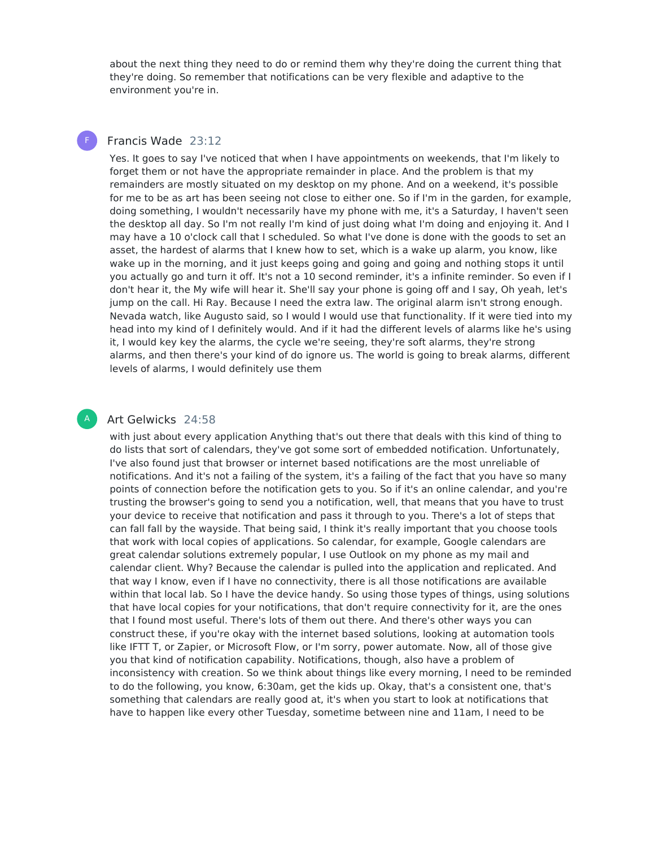about the next thing they need to do or remind them why they're doing the current thing that they're doing. So remember that notifications can be very flexible and adaptive to the environment you're in.

# Francis Wade 23:12

F

A

Yes. It goes to say I've noticed that when I have appointments on weekends, that I'm likely to forget them or not have the appropriate remainder in place. And the problem is that my remainders are mostly situated on my desktop on my phone. And on a weekend, it's possible for me to be as art has been seeing not close to either one. So if I'm in the garden, for example, doing something, I wouldn't necessarily have my phone with me, it's a Saturday, I haven't seen the desktop all day. So I'm not really I'm kind of just doing what I'm doing and enjoying it. And I may have a 10 o'clock call that I scheduled. So what I've done is done with the goods to set an asset, the hardest of alarms that I knew how to set, which is a wake up alarm, you know, like wake up in the morning, and it just keeps going and going and going and nothing stops it until you actually go and turn it off. It's not a 10 second reminder, it's a infinite reminder. So even if I don't hear it, the My wife will hear it. She'll say your phone is going off and I say, Oh yeah, let's jump on the call. Hi Ray. Because I need the extra law. The original alarm isn't strong enough. Nevada watch, like Augusto said, so I would I would use that functionality. If it were tied into my head into my kind of I definitely would. And if it had the different levels of alarms like he's using it, I would key key the alarms, the cycle we're seeing, they're soft alarms, they're strong alarms, and then there's your kind of do ignore us. The world is going to break alarms, different levels of alarms, I would definitely use them

#### Art Gelwicks 24:58

with just about every application Anything that's out there that deals with this kind of thing to do lists that sort of calendars, they've got some sort of embedded notification. Unfortunately, I've also found just that browser or internet based notifications are the most unreliable of notifications. And it's not a failing of the system, it's a failing of the fact that you have so many points of connection before the notification gets to you. So if it's an online calendar, and you're trusting the browser's going to send you a notification, well, that means that you have to trust your device to receive that notification and pass it through to you. There's a lot of steps that can fall fall by the wayside. That being said, I think it's really important that you choose tools that work with local copies of applications. So calendar, for example, Google calendars are great calendar solutions extremely popular, I use Outlook on my phone as my mail and calendar client. Why? Because the calendar is pulled into the application and replicated. And that way I know, even if I have no connectivity, there is all those notifications are available within that local lab. So I have the device handy. So using those types of things, using solutions that have local copies for your notifications, that don't require connectivity for it, are the ones that I found most useful. There's lots of them out there. And there's other ways you can construct these, if you're okay with the internet based solutions, looking at automation tools like IFTT T, or Zapier, or Microsoft Flow, or I'm sorry, power automate. Now, all of those give you that kind of notification capability. Notifications, though, also have a problem of inconsistency with creation. So we think about things like every morning, I need to be reminded to do the following, you know, 6:30am, get the kids up. Okay, that's a consistent one, that's something that calendars are really good at, it's when you start to look at notifications that have to happen like every other Tuesday, sometime between nine and 11am, I need to be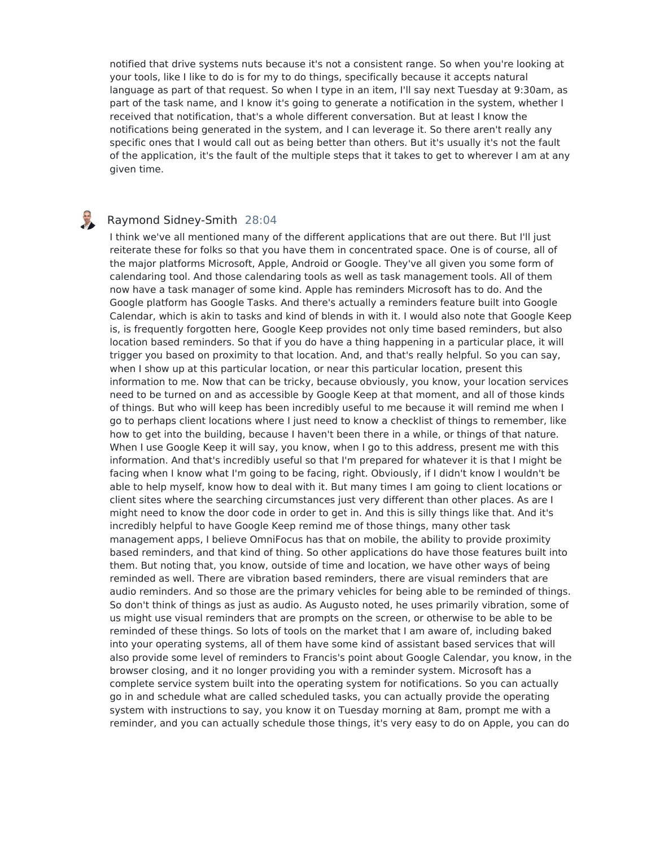notified that drive systems nuts because it's not a consistent range. So when you're looking at your tools, like I like to do is for my to do things, specifically because it accepts natural language as part of that request. So when I type in an item, I'll say next Tuesday at 9:30am, as part of the task name, and I know it's going to generate a notification in the system, whether I received that notification, that's a whole different conversation. But at least I know the notifications being generated in the system, and I can leverage it. So there aren't really any specific ones that I would call out as being better than others. But it's usually it's not the fault of the application, it's the fault of the multiple steps that it takes to get to wherever I am at any given time.

# Raymond Sidney-Smith 28:04

I think we've all mentioned many of the different applications that are out there. But I'll just reiterate these for folks so that you have them in concentrated space. One is of course, all of the major platforms Microsoft, Apple, Android or Google. They've all given you some form of calendaring tool. And those calendaring tools as well as task management tools. All of them now have a task manager of some kind. Apple has reminders Microsoft has to do. And the Google platform has Google Tasks. And there's actually a reminders feature built into Google Calendar, which is akin to tasks and kind of blends in with it. I would also note that Google Keep is, is frequently forgotten here, Google Keep provides not only time based reminders, but also location based reminders. So that if you do have a thing happening in a particular place, it will trigger you based on proximity to that location. And, and that's really helpful. So you can say, when I show up at this particular location, or near this particular location, present this information to me. Now that can be tricky, because obviously, you know, your location services need to be turned on and as accessible by Google Keep at that moment, and all of those kinds of things. But who will keep has been incredibly useful to me because it will remind me when I go to perhaps client locations where I just need to know a checklist of things to remember, like how to get into the building, because I haven't been there in a while, or things of that nature. When I use Google Keep it will say, you know, when I go to this address, present me with this information. And that's incredibly useful so that I'm prepared for whatever it is that I might be facing when I know what I'm going to be facing, right. Obviously, if I didn't know I wouldn't be able to help myself, know how to deal with it. But many times I am going to client locations or client sites where the searching circumstances just very different than other places. As are I might need to know the door code in order to get in. And this is silly things like that. And it's incredibly helpful to have Google Keep remind me of those things, many other task management apps, I believe OmniFocus has that on mobile, the ability to provide proximity based reminders, and that kind of thing. So other applications do have those features built into them. But noting that, you know, outside of time and location, we have other ways of being reminded as well. There are vibration based reminders, there are visual reminders that are audio reminders. And so those are the primary vehicles for being able to be reminded of things. So don't think of things as just as audio. As Augusto noted, he uses primarily vibration, some of us might use visual reminders that are prompts on the screen, or otherwise to be able to be reminded of these things. So lots of tools on the market that I am aware of, including baked into your operating systems, all of them have some kind of assistant based services that will also provide some level of reminders to Francis's point about Google Calendar, you know, in the browser closing, and it no longer providing you with a reminder system. Microsoft has a complete service system built into the operating system for notifications. So you can actually go in and schedule what are called scheduled tasks, you can actually provide the operating system with instructions to say, you know it on Tuesday morning at 8am, prompt me with a reminder, and you can actually schedule those things, it's very easy to do on Apple, you can do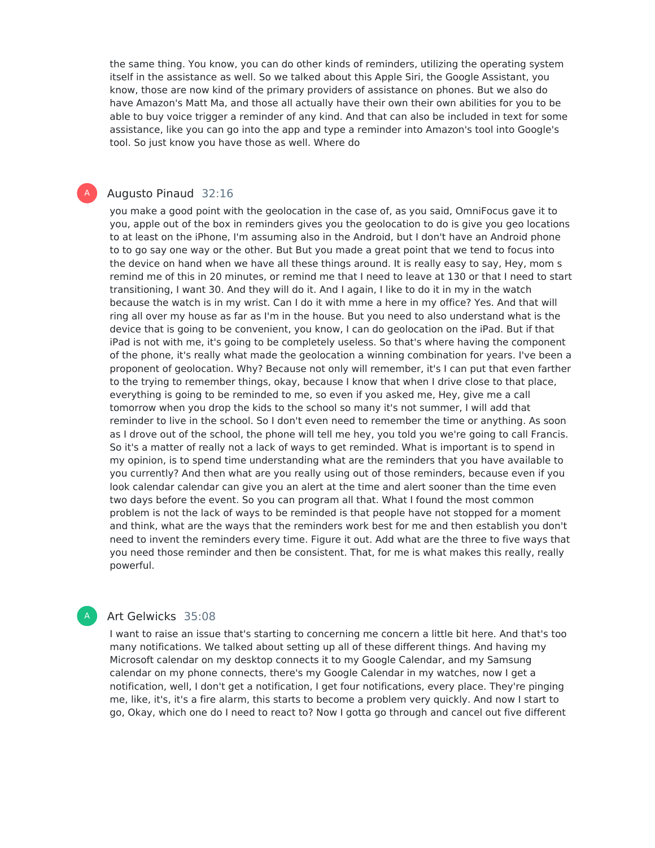the same thing. You know, you can do other kinds of reminders, utilizing the operating system itself in the assistance as well. So we talked about this Apple Siri, the Google Assistant, you know, those are now kind of the primary providers of assistance on phones. But we also do have Amazon's Matt Ma, and those all actually have their own their own abilities for you to be able to buy voice trigger a reminder of any kind. And that can also be included in text for some assistance, like you can go into the app and type a reminder into Amazon's tool into Google's tool. So just know you have those as well. Where do

#### Augusto Pinaud 32:16

A

you make a good point with the geolocation in the case of, as you said, OmniFocus gave it to you, apple out of the box in reminders gives you the geolocation to do is give you geo locations to at least on the iPhone, I'm assuming also in the Android, but I don't have an Android phone to to go say one way or the other. But But you made a great point that we tend to focus into the device on hand when we have all these things around. It is really easy to say, Hey, mom s remind me of this in 20 minutes, or remind me that I need to leave at 130 or that I need to start transitioning, I want 30. And they will do it. And I again, I like to do it in my in the watch because the watch is in my wrist. Can I do it with mme a here in my office? Yes. And that will ring all over my house as far as I'm in the house. But you need to also understand what is the device that is going to be convenient, you know, I can do geolocation on the iPad. But if that iPad is not with me, it's going to be completely useless. So that's where having the component of the phone, it's really what made the geolocation a winning combination for years. I've been a proponent of geolocation. Why? Because not only will remember, it's I can put that even farther to the trying to remember things, okay, because I know that when I drive close to that place, everything is going to be reminded to me, so even if you asked me, Hey, give me a call tomorrow when you drop the kids to the school so many it's not summer, I will add that reminder to live in the school. So I don't even need to remember the time or anything. As soon as I drove out of the school, the phone will tell me hey, you told you we're going to call Francis. So it's a matter of really not a lack of ways to get reminded. What is important is to spend in my opinion, is to spend time understanding what are the reminders that you have available to you currently? And then what are you really using out of those reminders, because even if you look calendar calendar can give you an alert at the time and alert sooner than the time even two days before the event. So you can program all that. What I found the most common problem is not the lack of ways to be reminded is that people have not stopped for a moment and think, what are the ways that the reminders work best for me and then establish you don't need to invent the reminders every time. Figure it out. Add what are the three to five ways that you need those reminder and then be consistent. That, for me is what makes this really, really powerful.

#### Art Gelwicks 35:08

A

I want to raise an issue that's starting to concerning me concern a little bit here. And that's too many notifications. We talked about setting up all of these different things. And having my Microsoft calendar on my desktop connects it to my Google Calendar, and my Samsung calendar on my phone connects, there's my Google Calendar in my watches, now Iget a notification, well, I don't get a notification, I get four notifications, every place. They're pinging me, like, it's, it's a fire alarm, this starts to become a problem very quickly. And now Istart to go, Okay, which one do I need to react to? Now Igotta go through and cancel out five different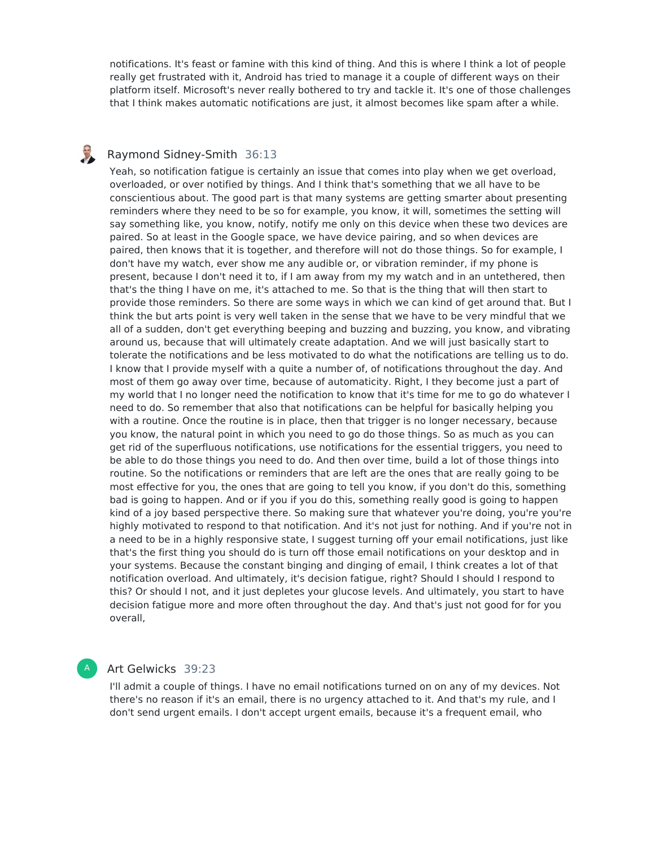notifications. It's feast or famine with this kind of thing. And this is where I think a lot of people really get frustrated with it, Android has tried to manage it a couple of different ways on their platform itself. Microsoft's never really bothered to try and tackle it. It's one of those challenges that I think makes automatic notifications are just, it almost becomes like spam after a while.

#### U Raymond Sidney-Smith 36:13

Yeah, so notification fatigue is certainly an issue that comes into play when we get overload, overloaded, or over notified by things. And I think that's something that we all have to be conscientious about. The good part is that many systems are getting smarter about presenting reminders where they need to be so for example, you know, it will, sometimes the setting will say something like, you know, notify, notify me only on this device when these two devices are paired. So at least in the Google space, we have device pairing, and so when devices are paired, then knows that it is together, and therefore will not do those things. So for example, I don't have my watch, ever show me any audible or, or vibration reminder, if my phone is present, because I don't need it to, if I am away from my my watch and in an untethered, then that's the thing I have on me, it's attached to me. So that is the thing that will then start to provide those reminders. So there are some ways in which we can kind of get around that. But I think the but arts point is very well taken in the sense that we have to be very mindful that we all of a sudden, don't get everything beeping and buzzing and buzzing, you know, and vibrating around us, because that will ultimately create adaptation. And we will just basically start to tolerate the notifications and be less motivated to do what the notifications are telling us to do. I know that I provide myself with a quite a number of, of notifications throughout the day. And most of them go away over time, because of automaticity. Right, I they become just a part of my world that I no longer need the notification to know that it's time for me to go do whatever I need to do. So remember that also that notifications can be helpful for basically helping you with a routine. Once the routine is in place, then that trigger is no longer necessary, because you know, the natural point in which you need to go do those things. So as much as you can get rid of the superfluous notifications, use notifications for the essential triggers, you need to be able to do those things you need to do. And then over time, build a lot of those things into routine. So the notifications or reminders that are left are the ones that are really going to be most effective for you, the ones that are going to tell you know, if you don't do this, something bad is going to happen. And or if you if you do this, something really good is going to happen kind of a joy based perspective there. So making sure that whatever you're doing, you're you're highly motivated to respond to that notification. And it's not just for nothing. And if you're not in a need to be in a highly responsive state, I suggest turning off your email notifications, just like that's the first thing you should do is turn off those email notifications on your desktop and in your systems. Because the constant binging and dinging of email, I think creates a lot of that notification overload. And ultimately, it's decision fatigue, right? Should I should I respond to this? Or should I not, and it just depletes your glucose levels. And ultimately, you start to have decision fatigue more and more often throughout the day. And that's just not good for for you overall,

#### A

## Art Gelwicks 39:23

I'll admit a couple of things. I have no email notifications turned on on any of my devices. Not there's no reason if it's an email, there is no urgency attached to it. And that's my rule, and I don't send urgent emails. I don't accept urgent emails, because it's a frequent email, who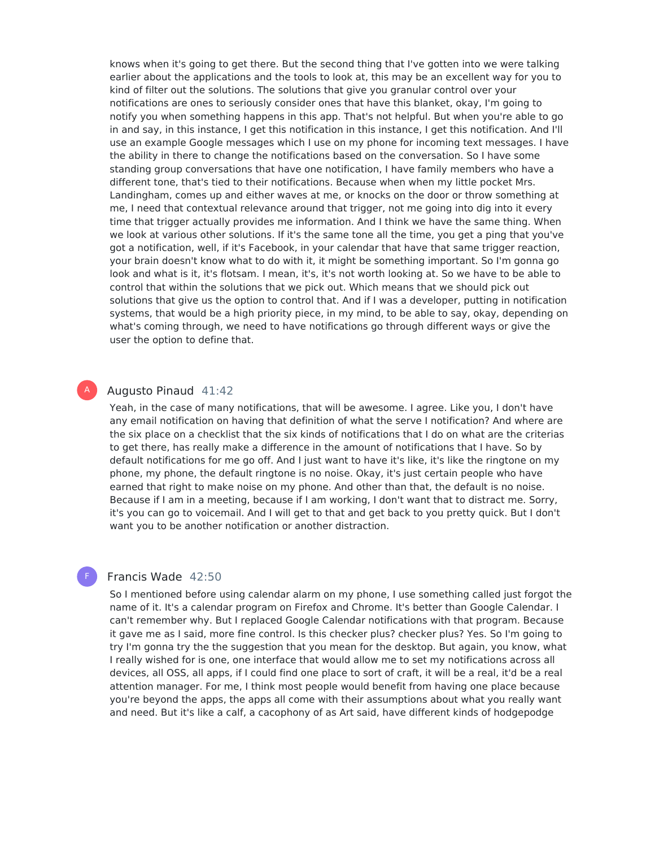knows when it's going to get there. But the second thing that I've gotten into we were talking earlier about the applications and the tools to look at, this may be an excellent way for you to kind of filter out the solutions. The solutions that give you granular control over your notifications are ones to seriously consider ones that have this blanket, okay, I'm going to notify you when something happens in this app. That's not helpful. But when you're able to go in and say, in this instance, I get this notification in this instance, I get this notification. And I'll use an example Google messages which I use on my phone for incoming text messages. I have the ability in there to change the notifications based on the conversation. So I have some standing group conversations that have one notification, I have family members who have a different tone, that's tied to their notifications. Because when when my little pocket Mrs. Landingham, comes up and either waves at me, or knocks on the door or throw something at me, I need that contextual relevance around that trigger, not me going into dig into it every time that trigger actually provides me information. And I think we have the same thing. When we look at various other solutions. If it's the same tone all the time, you get a ping that you've got a notification, well, if it's Facebook, in your calendar that have that same trigger reaction, your brain doesn't know what to do with it, it might be something important. So I'm gonna go look and what is it, it's flotsam. I mean, it's, it's not worth looking at. So we have to be able to control that within the solutions that we pick out. Which means that we should pick out solutions that give us the option to control that. And if I was a developer, putting in notification systems, that would be a high priority piece, in my mind, to be able to say, okay, depending on what's coming through, we need to have notifications go through different ways or give the user the option to define that.

### Augusto Pinaud 41:42

A

F

Yeah, in the case of many notifications, that will be awesome. I agree. Like you, I don't have any email notification on having that definition of what the serve I notification? And where are the six place on a checklist that the six kinds of notifications that I do on what are the criterias to get there, has really make a difference in the amount of notifications that I have. So by default notifications for me go off. And I just want to have it's like, it's like the ringtone on my phone, my phone, the default ringtone is no noise. Okay, it's just certain people who have earned that right to make noise on my phone. And other than that, the default is no noise. Because if I am in a meeting, because if I am working, I don't want that to distract me. Sorry, it's you can go to voicemail. And I will get to that and get back to you pretty quick. But I don't want you to be another notification or another distraction.

#### Francis Wade 42:50

So I mentioned before using calendar alarm on my phone, I use something called just forgot the name of it. It's a calendar program on Firefox and Chrome. It's better than Google Calendar. I can't remember why. But I replaced Google Calendar notifications with that program. Because it gave me as I said, more fine control. Is this checker plus? checker plus? Yes. So I'm going to try I'm gonna try the the suggestion that you mean for the desktop. But again, you know, what I really wished for is one, one interface that would allow me to set my notifications across all devices, all OSS, all apps, if I could find one place to sort of craft, it will be a real, it'd be a real attention manager. For me, I think most people would benefit from having one place because you're beyond the apps, the apps all come with their assumptions about what you really want and need. But it's like a calf, a cacophony of as Art said, have different kinds of hodgepodge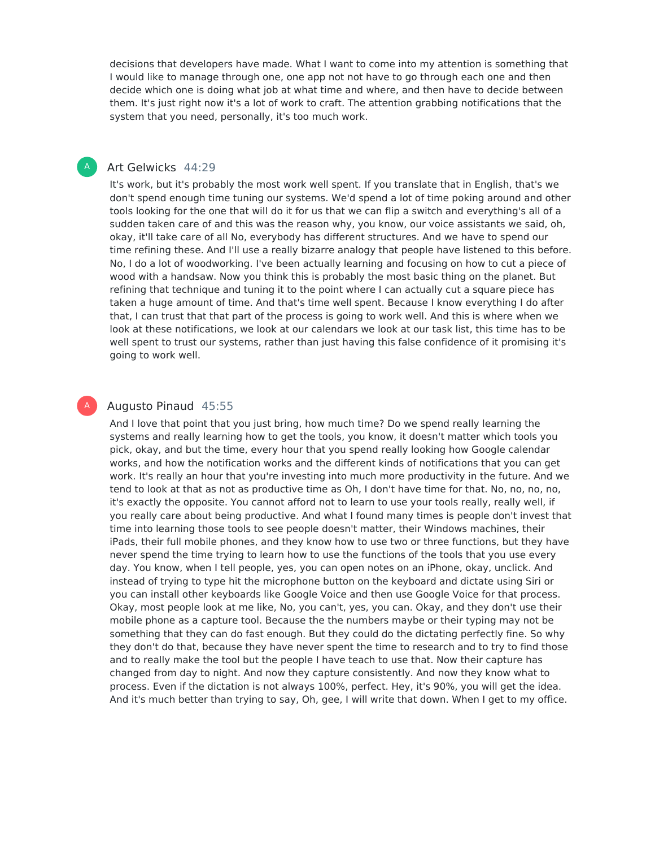decisions that developers have made. What I want to come into my attention is something that I would like to manage through one, one app not not have to go through each one and then decide which one is doing what job at what time and where, and then have to decide between them. It's just right now it's a lot of work to craft. The attention grabbing notifications that the system that you need, personally, it's too much work.

### Art Gelwicks 44:29

A

A

It's work, but it's probably the most work well spent. If you translate that in English, that's we don't spend enough time tuning our systems. We'd spend a lot of time poking around and other tools looking for the one that will do it for us that we can flip a switch and everything's all of a sudden taken care of and this was the reason why, you know, our voice assistants we said, oh, okay, it'll take care of all No, everybody has different structures. And we have to spend our time refining these. And I'll use a really bizarre analogy that people have listened to this before. No, I do a lot of woodworking. I've been actually learning and focusing on how to cut a piece of wood with a handsaw. Now you think this is probably the most basic thing on the planet. But refining that technique and tuning it to the point where I can actually cut a square piece has taken a huge amount of time. And that's time well spent. Because I know everything I do after that, I can trust that that part of the process is going to work well. And this is where when we look at these notifications, we look at our calendars we look at our task list, this time has to be well spent to trust our systems, rather than just having this false confidence of it promising it's going to work well.

# Augusto Pinaud 45:55

And I love that point that you just bring, how much time? Do we spend really learning the systems and really learning how to get the tools, you know, it doesn't matter which tools you pick, okay, and but the time, every hour that you spend really looking how Google calendar works, and how the notification works and the different kinds of notifications that you can get work. It's really an hour that you're investing into much more productivity in the future. And we tend to look at that as not as productive time as Oh, I don't have time for that. No, no, no, no, it's exactly the opposite. You cannot afford not to learn to use your tools really, really well, if you really care about being productive. And what I found many times is people don't invest that time into learning those tools to see people doesn't matter, their Windows machines, their iPads, their full mobile phones, and they know how to use two or three functions, but they have never spend the time trying to learn how to use the functions of the tools that you use every day. You know, when I tell people, yes, you can open notes on an iPhone, okay, unclick. And instead of trying to type hit the microphone button on the keyboard and dictate using Siri or you can install other keyboards like Google Voice and then use Google Voice for that process. Okay, most people look at me like, No, you can't, yes, you can. Okay, and they don't use their mobile phone as a capture tool. Because the the numbers maybe or their typing may not be something that they can do fast enough. But they could do the dictating perfectly fine. So why they don't do that, because they have never spent the time to research and to try to find those and to really make the tool but the people I have teach to use that. Now their capture has changed from day to night. And now they capture consistently. And now they know what to process. Even if the dictation is not always 100%, perfect. Hey, it's 90%, you will get the idea. And it's much better than trying to say, Oh, gee, I will write that down. When I get to my office.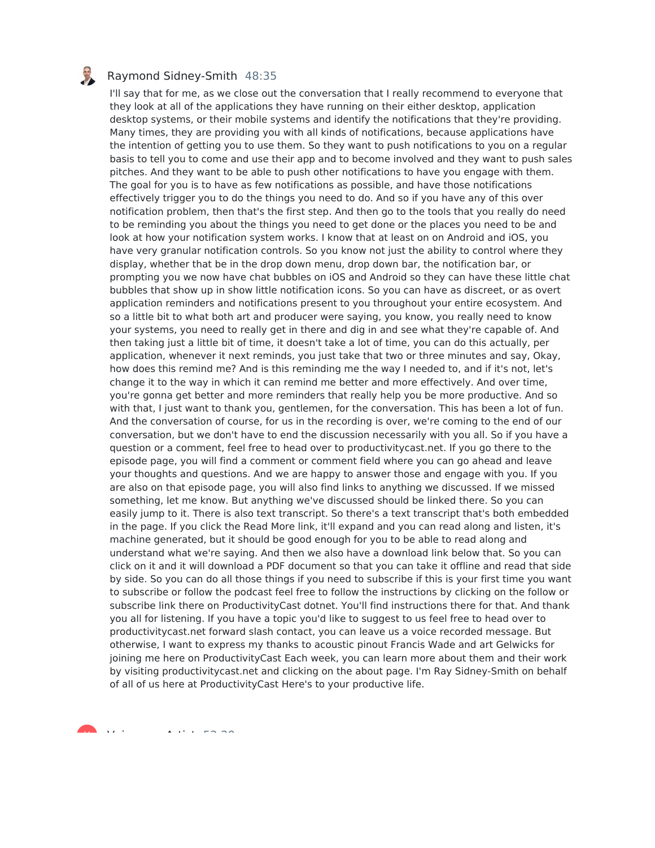

#### Raymond Sidney-Smith 48:35

I'll say that for me, as we close out the conversation that I really recommend to everyone that they look at all of the applications they have running on their either desktop, application desktop systems, or their mobile systems and identify the notifications that they're providing. Many times, they are providing you with all kinds of notifications, because applications have the intention of getting you to use them. So they want to push notifications to you on a regular basis to tell you to come and use their app and to become involved and they want to push sales pitches. And they want to be able to push other notifications to have you engage with them. The goal for you is to have as few notifications as possible, and have those notifications effectively trigger you to do the things you need to do. And so if you have any of this over notification problem, then that's the first step. And then go to the tools that you really do need to be reminding you about the things you need to get done or the places you need to be and look at how your notification system works. I know that at least on on Android and iOS, you have very granular notification controls. So you know not just the ability to control where they display, whether that be in the drop down menu, drop down bar, the notification bar, or prompting you we now have chat bubbles on iOS and Android so they can have these little chat bubbles that show up in show little notification icons. So you can have as discreet, or as overt application reminders and notifications present to you throughout your entire ecosystem. And so a little bit to what both art and producer were saying, you know, you really need to know your systems, you need to really get in there and dig in and see what they're capable of. And then taking just a little bit of time, it doesn't take a lot of time, you can do this actually, per application, whenever it next reminds, you just take that two or three minutes and say, Okay, how does this remind me? And is this reminding me the way I needed to, and if it's not, let's change it to the way in which it can remind me better and more effectively. And over time, you're gonna get better and more reminders that really help you be more productive. And so with that, I just want to thank you, gentlemen, for the conversation. This has been a lot of fun. And the conversation of course, for us in the recording is over, we're coming to the end of our conversation, but we don't have to end the discussion necessarily with you all. So if you have a question or a comment, feel free to head over to productivitycast.net. If you go there to the episode page, you will find a comment or comment field where you can go ahead and leave your thoughts and questions. And we are happy to answer those and engage with you. If you are also on that episode page, you will also find links to anything we discussed. If we missed something, let me know. But anything we've discussed should be linked there. So you can easily jump to it. There is also text transcript. So there's a text transcript that's both embedded in the page. If you click the Read More link, it'll expand and you can read along and listen, it's machine generated, but it should be good enough for you to be able to read along and understand what we're saying. And then we also have a download link below that. So you can click on it and it will download a PDF document so that you can take it offline and read that side by side. So you can do all those things if you need to subscribe if this is your first time you want to subscribe or follow the podcast feel free to follow the instructions by clicking on the follow or subscribe link there on ProductivityCast dotnet. You'll find instructions there for that. And thank you all for listening. If you have a topic you'd like to suggest to us feel free to head over to productivitycast.net forward slash contact, you can leave us a voice recorded message. But otherwise, I want to express my thanks to acoustic pinout Francis Wade and art Gelwicks for joining me here on ProductivityCast Each week, you can learn more about them and their work by visiting productivitycast.net and clicking on the about page. I'm Ray Sidney-Smith on behalf of all of us here at ProductivityCast Here's to your productive life.

 $\mathbf{v}$  voices  $\mathbf{v}$  are  $\mathbf{v}$   $\mathbf{v}$  and  $\mathbf{v}$